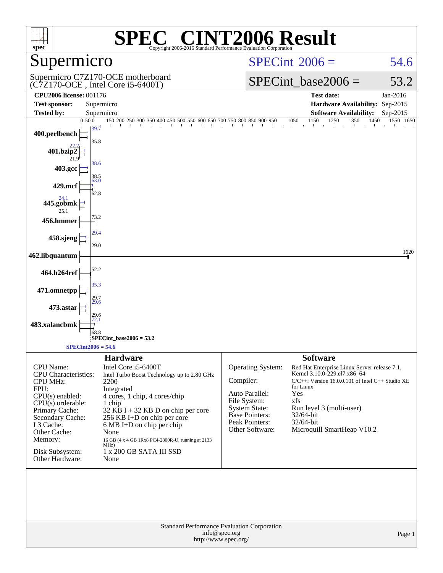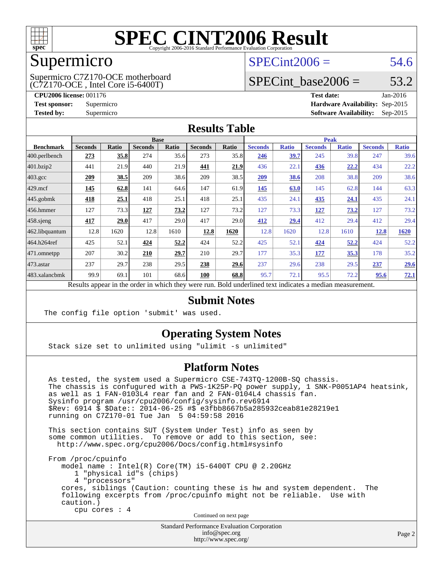

### Supermicro

(C7Z170-OCE , Intel Core i5-6400T) Supermicro C7Z170-OCE motherboard  $SPECint2006 = 54.6$  $SPECint2006 = 54.6$ 

## SPECint base2006 =  $53.2$

**[CPU2006 license:](http://www.spec.org/auto/cpu2006/Docs/result-fields.html#CPU2006license)** 001176 **[Test date:](http://www.spec.org/auto/cpu2006/Docs/result-fields.html#Testdate)** Jan-2016 **[Test sponsor:](http://www.spec.org/auto/cpu2006/Docs/result-fields.html#Testsponsor)** Supermicro **[Hardware Availability:](http://www.spec.org/auto/cpu2006/Docs/result-fields.html#HardwareAvailability)** Sep-2015 **[Tested by:](http://www.spec.org/auto/cpu2006/Docs/result-fields.html#Testedby)** Supermicro **Supermicro [Software Availability:](http://www.spec.org/auto/cpu2006/Docs/result-fields.html#SoftwareAvailability)** Sep-2015

#### **[Results Table](http://www.spec.org/auto/cpu2006/Docs/result-fields.html#ResultsTable)**

|                    | <b>Base</b>             |              |                                |              |                |       | <b>Peak</b>                                 |              |                |              |                |              |
|--------------------|-------------------------|--------------|--------------------------------|--------------|----------------|-------|---------------------------------------------|--------------|----------------|--------------|----------------|--------------|
| <b>Benchmark</b>   | <b>Seconds</b>          | <b>Ratio</b> | <b>Seconds</b>                 | <b>Ratio</b> | <b>Seconds</b> | Ratio | <b>Seconds</b>                              | <b>Ratio</b> | <b>Seconds</b> | <b>Ratio</b> | <b>Seconds</b> | <b>Ratio</b> |
| 400.perlbench      | 273                     | 35.8         | 274                            | 35.6         | 273            | 35.8  | 246                                         | 39.7         | 245            | 39.8         | 247            | 39.6         |
| 401.bzip2          | 441                     | 21.9         | 440                            | 21.9         | 441            | 21.9  | 436                                         | 22.1         | 436            | 22,2         | 434            | 22.2         |
| $403.\mathrm{gcc}$ | 209                     | 38.5         | 209                            | 38.6         | 209            | 38.5  | 209                                         | 38.6         | 208            | 38.8         | 209            | 38.6         |
| $429$ .mcf         | 145                     | 62.8         | 141                            | 64.6         | 147            | 61.9  | 145                                         | 63.0         | 145            | 62.8         | 144            | 63.3         |
| $445$ .gobmk       | 418                     | 25.1         | 418                            | 25.1         | 418            | 25.1  | 435                                         | 24.1         | 435            | 24.1         | 435            | 24.1         |
| $456.$ hmmer       | 127                     | 73.3         | 127                            | 73.2         | 127            | 73.2  | 127                                         | 73.3         | 127            | 73.2         | 127            | 73.2         |
| $458$ .sjeng       | 417                     | 29.0         | 417                            | 29.0         | 417            | 29.0  | 412                                         | 29.4         | 412            | 29.4         | 412            | 29.4         |
| 462.libquantum     | 12.8                    | 1620         | 12.8                           | 1610         | 12.8           | 1620  | 12.8                                        | 1620         | 12.8           | 1610         | 12.8           | 1620         |
| 464.h264ref        | 425                     | 52.1         | 424                            | 52.2         | 424            | 52.2  | 425                                         | 52.1         | 424            | 52.2         | 424            | 52.2         |
| 471.omnetpp        | 207                     | 30.2         | 210                            | 29.7         | 210            | 29.7  | 177                                         | 35.3         | <u>177</u>     | <u>35.3</u>  | 178            | 35.2         |
| 473.astar          | 237                     | 29.7         | 238                            | 29.5         | 238            | 29.6  | 237                                         | 29.6         | 238            | 29.5         | 237            | 29.6         |
| 483.xalancbmk      | 99.9                    | 69.1         | 101                            | 68.6         | 100            | 68.8  | 95.7                                        | 72.1         | 95.5           | 72.2         | 95.6           | 72.1         |
|                    | $\mathbf{D}$ . The same | tur 11.      | $-1.5 - 1.5 - 1.5 - 1.5 - 1.5$ |              |                |       | $D$ and $L$ and $L$ and $L$ and $L$ and $L$ |              |                |              |                |              |

Results appear in the [order in which they were run.](http://www.spec.org/auto/cpu2006/Docs/result-fields.html#RunOrder) Bold underlined text [indicates a median measurement.](http://www.spec.org/auto/cpu2006/Docs/result-fields.html#Median)

#### **[Submit Notes](http://www.spec.org/auto/cpu2006/Docs/result-fields.html#SubmitNotes)**

The config file option 'submit' was used.

#### **[Operating System Notes](http://www.spec.org/auto/cpu2006/Docs/result-fields.html#OperatingSystemNotes)**

Stack size set to unlimited using "ulimit -s unlimited"

#### **[Platform Notes](http://www.spec.org/auto/cpu2006/Docs/result-fields.html#PlatformNotes)**

 As tested, the system used a Supermicro CSE-743TQ-1200B-SQ chassis. The chassis is confugured with a PWS-1K25P-PQ power supply, 1 SNK-P0051AP4 heatsink, as well as 1 FAN-0103L4 rear fan and 2 FAN-0104L4 chassis fan. Sysinfo program /usr/cpu2006/config/sysinfo.rev6914 \$Rev: 6914 \$ \$Date:: 2014-06-25 #\$ e3fbb8667b5a285932ceab81e28219e1 running on C7Z170-01 Tue Jan 5 04:59:58 2016

 This section contains SUT (System Under Test) info as seen by some common utilities. To remove or add to this section, see: <http://www.spec.org/cpu2006/Docs/config.html#sysinfo>

 From /proc/cpuinfo model name : Intel(R) Core(TM) i5-6400T CPU @ 2.20GHz 1 "physical id"s (chips) 4 "processors" cores, siblings (Caution: counting these is hw and system dependent. The following excerpts from /proc/cpuinfo might not be reliable. Use with caution.) cpu cores : 4

Continued on next page

Standard Performance Evaluation Corporation [info@spec.org](mailto:info@spec.org) <http://www.spec.org/>

Page 2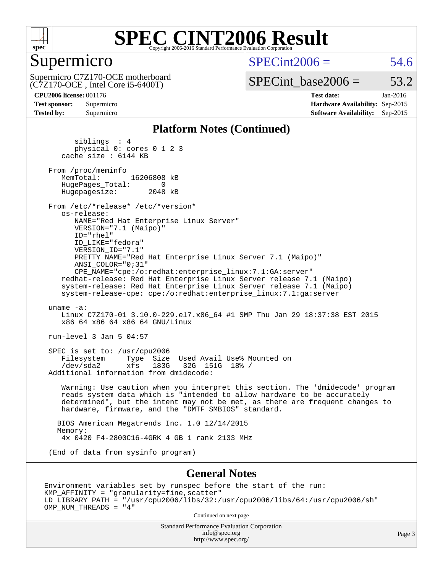

#### Supermicro

 $SPECint2006 = 54.6$  $SPECint2006 = 54.6$ 

(C7Z170-OCE , Intel Core i5-6400T) Supermicro C7Z170-OCE motherboard  $SPECTnt\_base2006 = 53.2$ 

**[CPU2006 license:](http://www.spec.org/auto/cpu2006/Docs/result-fields.html#CPU2006license)** 001176 **[Test date:](http://www.spec.org/auto/cpu2006/Docs/result-fields.html#Testdate)** Jan-2016 **[Test sponsor:](http://www.spec.org/auto/cpu2006/Docs/result-fields.html#Testsponsor)** Supermicro **[Hardware Availability:](http://www.spec.org/auto/cpu2006/Docs/result-fields.html#HardwareAvailability)** Sep-2015 **[Tested by:](http://www.spec.org/auto/cpu2006/Docs/result-fields.html#Testedby)** Supermicro **[Software Availability:](http://www.spec.org/auto/cpu2006/Docs/result-fields.html#SoftwareAvailability)** Sep-2015

#### **[Platform Notes \(Continued\)](http://www.spec.org/auto/cpu2006/Docs/result-fields.html#PlatformNotes)**

 siblings : 4 physical 0: cores 0 1 2 3 cache size : 6144 KB From /proc/meminfo<br>MemTotal: 16206808 kB HugePages\_Total: 0<br>Hugepagesize: 2048 kB Hugepagesize: From /etc/\*release\* /etc/\*version\* os-release: NAME="Red Hat Enterprise Linux Server" VERSION="7.1 (Maipo)" ID="rhel" ID\_LIKE="fedora" VERSION\_ID="7.1" PRETTY\_NAME="Red Hat Enterprise Linux Server 7.1 (Maipo)" ANSI\_COLOR="0;31" CPE\_NAME="cpe:/o:redhat:enterprise\_linux:7.1:GA:server" redhat-release: Red Hat Enterprise Linux Server release 7.1 (Maipo) system-release: Red Hat Enterprise Linux Server release 7.1 (Maipo) system-release-cpe: cpe:/o:redhat:enterprise\_linux:7.1:ga:server uname -a: Linux C7Z170-01 3.10.0-229.el7.x86\_64 #1 SMP Thu Jan 29 18:37:38 EST 2015 x86\_64 x86\_64 x86\_64 GNU/Linux run-level 3 Jan 5 04:57 SPEC is set to: /usr/cpu2006 Filesystem Type Size Used Avail Use% Mounted on<br>
/dev/sda2 xfs 183G 32G 151G 18% / /dev/sda2 xfs 183G 32G 151G 18% / Additional information from dmidecode: Warning: Use caution when you interpret this section. The 'dmidecode' program reads system data which is "intended to allow hardware to be accurately determined", but the intent may not be met, as there are frequent changes to hardware, firmware, and the "DMTF SMBIOS" standard. BIOS American Megatrends Inc. 1.0 12/14/2015 Memory: 4x 0420 F4-2800C16-4GRK 4 GB 1 rank 2133 MHz (End of data from sysinfo program) **[General Notes](http://www.spec.org/auto/cpu2006/Docs/result-fields.html#GeneralNotes)**

Environment variables set by runspec before the start of the run: KMP\_AFFINITY = "granularity=fine,scatter" LD\_LIBRARY\_PATH = "/usr/cpu2006/libs/32:/usr/cpu2006/libs/64:/usr/cpu2006/sh" OMP\_NUM\_THREADS = "4"

Continued on next page

Standard Performance Evaluation Corporation [info@spec.org](mailto:info@spec.org) <http://www.spec.org/>

Page 3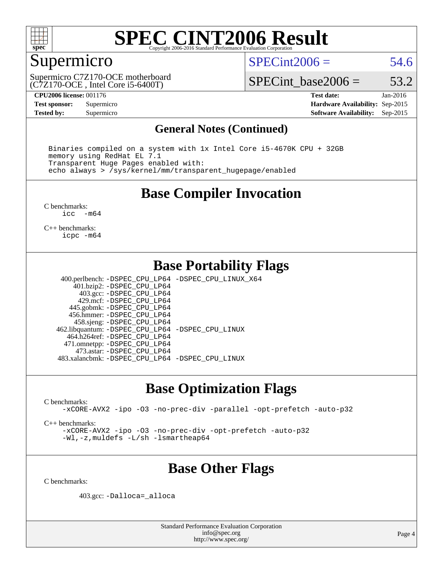

## Supermicro

 $SPECint2006 = 54.6$  $SPECint2006 = 54.6$ 

(C7Z170-OCE , Intel Core i5-6400T) Supermicro C7Z170-OCE motherboard

SPECint base2006 =  $53.2$ 

**[CPU2006 license:](http://www.spec.org/auto/cpu2006/Docs/result-fields.html#CPU2006license)** 001176 **[Test date:](http://www.spec.org/auto/cpu2006/Docs/result-fields.html#Testdate)** Jan-2016 **[Test sponsor:](http://www.spec.org/auto/cpu2006/Docs/result-fields.html#Testsponsor)** Supermicro **[Hardware Availability:](http://www.spec.org/auto/cpu2006/Docs/result-fields.html#HardwareAvailability)** Sep-2015 **[Tested by:](http://www.spec.org/auto/cpu2006/Docs/result-fields.html#Testedby)** Supermicro **Supermicro [Software Availability:](http://www.spec.org/auto/cpu2006/Docs/result-fields.html#SoftwareAvailability)** Sep-2015

#### **[General Notes \(Continued\)](http://www.spec.org/auto/cpu2006/Docs/result-fields.html#GeneralNotes)**

 Binaries compiled on a system with 1x Intel Core i5-4670K CPU + 32GB memory using RedHat EL 7.1 Transparent Huge Pages enabled with: echo always > /sys/kernel/mm/transparent\_hugepage/enabled

#### **[Base Compiler Invocation](http://www.spec.org/auto/cpu2006/Docs/result-fields.html#BaseCompilerInvocation)**

[C benchmarks](http://www.spec.org/auto/cpu2006/Docs/result-fields.html#Cbenchmarks):<br> $\frac{1}{2}$ cc  $-m64$ 

[C++ benchmarks:](http://www.spec.org/auto/cpu2006/Docs/result-fields.html#CXXbenchmarks) [icpc -m64](http://www.spec.org/cpu2006/results/res2016q1/cpu2006-20160107-38606.flags.html#user_CXXbase_intel_icpc_64bit_fc66a5337ce925472a5c54ad6a0de310)

#### **[Base Portability Flags](http://www.spec.org/auto/cpu2006/Docs/result-fields.html#BasePortabilityFlags)**

 400.perlbench: [-DSPEC\\_CPU\\_LP64](http://www.spec.org/cpu2006/results/res2016q1/cpu2006-20160107-38606.flags.html#b400.perlbench_basePORTABILITY_DSPEC_CPU_LP64) [-DSPEC\\_CPU\\_LINUX\\_X64](http://www.spec.org/cpu2006/results/res2016q1/cpu2006-20160107-38606.flags.html#b400.perlbench_baseCPORTABILITY_DSPEC_CPU_LINUX_X64) 401.bzip2: [-DSPEC\\_CPU\\_LP64](http://www.spec.org/cpu2006/results/res2016q1/cpu2006-20160107-38606.flags.html#suite_basePORTABILITY401_bzip2_DSPEC_CPU_LP64) 403.gcc: [-DSPEC\\_CPU\\_LP64](http://www.spec.org/cpu2006/results/res2016q1/cpu2006-20160107-38606.flags.html#suite_basePORTABILITY403_gcc_DSPEC_CPU_LP64) 429.mcf: [-DSPEC\\_CPU\\_LP64](http://www.spec.org/cpu2006/results/res2016q1/cpu2006-20160107-38606.flags.html#suite_basePORTABILITY429_mcf_DSPEC_CPU_LP64) 445.gobmk: [-DSPEC\\_CPU\\_LP64](http://www.spec.org/cpu2006/results/res2016q1/cpu2006-20160107-38606.flags.html#suite_basePORTABILITY445_gobmk_DSPEC_CPU_LP64) 456.hmmer: [-DSPEC\\_CPU\\_LP64](http://www.spec.org/cpu2006/results/res2016q1/cpu2006-20160107-38606.flags.html#suite_basePORTABILITY456_hmmer_DSPEC_CPU_LP64) 458.sjeng: [-DSPEC\\_CPU\\_LP64](http://www.spec.org/cpu2006/results/res2016q1/cpu2006-20160107-38606.flags.html#suite_basePORTABILITY458_sjeng_DSPEC_CPU_LP64) 462.libquantum: [-DSPEC\\_CPU\\_LP64](http://www.spec.org/cpu2006/results/res2016q1/cpu2006-20160107-38606.flags.html#suite_basePORTABILITY462_libquantum_DSPEC_CPU_LP64) [-DSPEC\\_CPU\\_LINUX](http://www.spec.org/cpu2006/results/res2016q1/cpu2006-20160107-38606.flags.html#b462.libquantum_baseCPORTABILITY_DSPEC_CPU_LINUX) 464.h264ref: [-DSPEC\\_CPU\\_LP64](http://www.spec.org/cpu2006/results/res2016q1/cpu2006-20160107-38606.flags.html#suite_basePORTABILITY464_h264ref_DSPEC_CPU_LP64) 471.omnetpp: [-DSPEC\\_CPU\\_LP64](http://www.spec.org/cpu2006/results/res2016q1/cpu2006-20160107-38606.flags.html#suite_basePORTABILITY471_omnetpp_DSPEC_CPU_LP64) 473.astar: [-DSPEC\\_CPU\\_LP64](http://www.spec.org/cpu2006/results/res2016q1/cpu2006-20160107-38606.flags.html#suite_basePORTABILITY473_astar_DSPEC_CPU_LP64) 483.xalancbmk: [-DSPEC\\_CPU\\_LP64](http://www.spec.org/cpu2006/results/res2016q1/cpu2006-20160107-38606.flags.html#suite_basePORTABILITY483_xalancbmk_DSPEC_CPU_LP64) [-DSPEC\\_CPU\\_LINUX](http://www.spec.org/cpu2006/results/res2016q1/cpu2006-20160107-38606.flags.html#b483.xalancbmk_baseCXXPORTABILITY_DSPEC_CPU_LINUX)

#### **[Base Optimization Flags](http://www.spec.org/auto/cpu2006/Docs/result-fields.html#BaseOptimizationFlags)**

[C benchmarks](http://www.spec.org/auto/cpu2006/Docs/result-fields.html#Cbenchmarks):

[-xCORE-AVX2](http://www.spec.org/cpu2006/results/res2016q1/cpu2006-20160107-38606.flags.html#user_CCbase_f-xAVX2_5f5fc0cbe2c9f62c816d3e45806c70d7) [-ipo](http://www.spec.org/cpu2006/results/res2016q1/cpu2006-20160107-38606.flags.html#user_CCbase_f-ipo) [-O3](http://www.spec.org/cpu2006/results/res2016q1/cpu2006-20160107-38606.flags.html#user_CCbase_f-O3) [-no-prec-div](http://www.spec.org/cpu2006/results/res2016q1/cpu2006-20160107-38606.flags.html#user_CCbase_f-no-prec-div) [-parallel](http://www.spec.org/cpu2006/results/res2016q1/cpu2006-20160107-38606.flags.html#user_CCbase_f-parallel) [-opt-prefetch](http://www.spec.org/cpu2006/results/res2016q1/cpu2006-20160107-38606.flags.html#user_CCbase_f-opt-prefetch) [-auto-p32](http://www.spec.org/cpu2006/results/res2016q1/cpu2006-20160107-38606.flags.html#user_CCbase_f-auto-p32)

[C++ benchmarks:](http://www.spec.org/auto/cpu2006/Docs/result-fields.html#CXXbenchmarks)

[-xCORE-AVX2](http://www.spec.org/cpu2006/results/res2016q1/cpu2006-20160107-38606.flags.html#user_CXXbase_f-xAVX2_5f5fc0cbe2c9f62c816d3e45806c70d7) [-ipo](http://www.spec.org/cpu2006/results/res2016q1/cpu2006-20160107-38606.flags.html#user_CXXbase_f-ipo) [-O3](http://www.spec.org/cpu2006/results/res2016q1/cpu2006-20160107-38606.flags.html#user_CXXbase_f-O3) [-no-prec-div](http://www.spec.org/cpu2006/results/res2016q1/cpu2006-20160107-38606.flags.html#user_CXXbase_f-no-prec-div) [-opt-prefetch](http://www.spec.org/cpu2006/results/res2016q1/cpu2006-20160107-38606.flags.html#user_CXXbase_f-opt-prefetch) [-auto-p32](http://www.spec.org/cpu2006/results/res2016q1/cpu2006-20160107-38606.flags.html#user_CXXbase_f-auto-p32) [-Wl,-z,muldefs](http://www.spec.org/cpu2006/results/res2016q1/cpu2006-20160107-38606.flags.html#user_CXXbase_link_force_multiple1_74079c344b956b9658436fd1b6dd3a8a) [-L/sh -lsmartheap64](http://www.spec.org/cpu2006/results/res2016q1/cpu2006-20160107-38606.flags.html#user_CXXbase_SmartHeap64_ed4ef857ce90951921efb0d91eb88472)

## **[Base Other Flags](http://www.spec.org/auto/cpu2006/Docs/result-fields.html#BaseOtherFlags)**

[C benchmarks](http://www.spec.org/auto/cpu2006/Docs/result-fields.html#Cbenchmarks):

403.gcc: [-Dalloca=\\_alloca](http://www.spec.org/cpu2006/results/res2016q1/cpu2006-20160107-38606.flags.html#b403.gcc_baseEXTRA_CFLAGS_Dalloca_be3056838c12de2578596ca5467af7f3)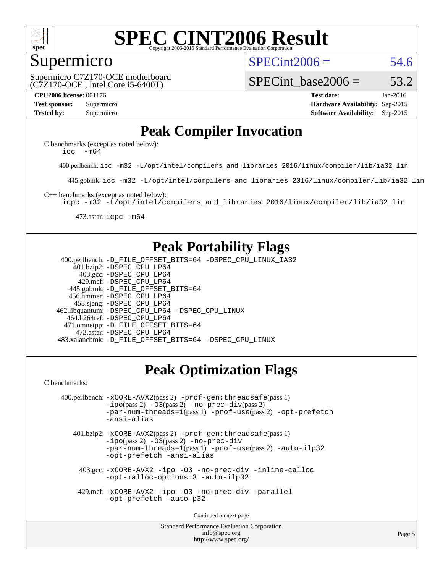

#### Supermicro

 $SPECint2006 = 54.6$  $SPECint2006 = 54.6$ 

(C7Z170-OCE , Intel Core i5-6400T) Supermicro C7Z170-OCE motherboard SPECint base2006 =  $53.2$ 

**[CPU2006 license:](http://www.spec.org/auto/cpu2006/Docs/result-fields.html#CPU2006license)** 001176 **[Test date:](http://www.spec.org/auto/cpu2006/Docs/result-fields.html#Testdate)** Jan-2016 **[Test sponsor:](http://www.spec.org/auto/cpu2006/Docs/result-fields.html#Testsponsor)** Supermicro **[Hardware Availability:](http://www.spec.org/auto/cpu2006/Docs/result-fields.html#HardwareAvailability)** Sep-2015 **[Tested by:](http://www.spec.org/auto/cpu2006/Docs/result-fields.html#Testedby)** Supermicro **Supermicro [Software Availability:](http://www.spec.org/auto/cpu2006/Docs/result-fields.html#SoftwareAvailability)** Sep-2015

### **[Peak Compiler Invocation](http://www.spec.org/auto/cpu2006/Docs/result-fields.html#PeakCompilerInvocation)**

[C benchmarks \(except as noted below\)](http://www.spec.org/auto/cpu2006/Docs/result-fields.html#Cbenchmarksexceptasnotedbelow): icc  $-m64$ 

400.perlbench: [icc -m32 -L/opt/intel/compilers\\_and\\_libraries\\_2016/linux/compiler/lib/ia32\\_lin](http://www.spec.org/cpu2006/results/res2016q1/cpu2006-20160107-38606.flags.html#user_peakCCLD400_perlbench_intel_icc_e10256ba5924b668798078a321b0cb3f)

445.gobmk: [icc -m32 -L/opt/intel/compilers\\_and\\_libraries\\_2016/linux/compiler/lib/ia32\\_lin](http://www.spec.org/cpu2006/results/res2016q1/cpu2006-20160107-38606.flags.html#user_peakCCLD445_gobmk_intel_icc_e10256ba5924b668798078a321b0cb3f)

[C++ benchmarks \(except as noted below\):](http://www.spec.org/auto/cpu2006/Docs/result-fields.html#CXXbenchmarksexceptasnotedbelow)

[icpc -m32 -L/opt/intel/compilers\\_and\\_libraries\\_2016/linux/compiler/lib/ia32\\_lin](http://www.spec.org/cpu2006/results/res2016q1/cpu2006-20160107-38606.flags.html#user_CXXpeak_intel_icpc_b4f50a394bdb4597aa5879c16bc3f5c5)

473.astar: [icpc -m64](http://www.spec.org/cpu2006/results/res2016q1/cpu2006-20160107-38606.flags.html#user_peakCXXLD473_astar_intel_icpc_64bit_fc66a5337ce925472a5c54ad6a0de310)

#### **[Peak Portability Flags](http://www.spec.org/auto/cpu2006/Docs/result-fields.html#PeakPortabilityFlags)**

 400.perlbench: [-D\\_FILE\\_OFFSET\\_BITS=64](http://www.spec.org/cpu2006/results/res2016q1/cpu2006-20160107-38606.flags.html#user_peakPORTABILITY400_perlbench_file_offset_bits_64_438cf9856305ebd76870a2c6dc2689ab) [-DSPEC\\_CPU\\_LINUX\\_IA32](http://www.spec.org/cpu2006/results/res2016q1/cpu2006-20160107-38606.flags.html#b400.perlbench_peakCPORTABILITY_DSPEC_CPU_LINUX_IA32) 401.bzip2: [-DSPEC\\_CPU\\_LP64](http://www.spec.org/cpu2006/results/res2016q1/cpu2006-20160107-38606.flags.html#suite_peakPORTABILITY401_bzip2_DSPEC_CPU_LP64) 403.gcc: [-DSPEC\\_CPU\\_LP64](http://www.spec.org/cpu2006/results/res2016q1/cpu2006-20160107-38606.flags.html#suite_peakPORTABILITY403_gcc_DSPEC_CPU_LP64) 429.mcf: [-DSPEC\\_CPU\\_LP64](http://www.spec.org/cpu2006/results/res2016q1/cpu2006-20160107-38606.flags.html#suite_peakPORTABILITY429_mcf_DSPEC_CPU_LP64) 445.gobmk: [-D\\_FILE\\_OFFSET\\_BITS=64](http://www.spec.org/cpu2006/results/res2016q1/cpu2006-20160107-38606.flags.html#user_peakPORTABILITY445_gobmk_file_offset_bits_64_438cf9856305ebd76870a2c6dc2689ab) 456.hmmer: [-DSPEC\\_CPU\\_LP64](http://www.spec.org/cpu2006/results/res2016q1/cpu2006-20160107-38606.flags.html#suite_peakPORTABILITY456_hmmer_DSPEC_CPU_LP64) 458.sjeng: [-DSPEC\\_CPU\\_LP64](http://www.spec.org/cpu2006/results/res2016q1/cpu2006-20160107-38606.flags.html#suite_peakPORTABILITY458_sjeng_DSPEC_CPU_LP64) 462.libquantum: [-DSPEC\\_CPU\\_LP64](http://www.spec.org/cpu2006/results/res2016q1/cpu2006-20160107-38606.flags.html#suite_peakPORTABILITY462_libquantum_DSPEC_CPU_LP64) [-DSPEC\\_CPU\\_LINUX](http://www.spec.org/cpu2006/results/res2016q1/cpu2006-20160107-38606.flags.html#b462.libquantum_peakCPORTABILITY_DSPEC_CPU_LINUX) 464.h264ref: [-DSPEC\\_CPU\\_LP64](http://www.spec.org/cpu2006/results/res2016q1/cpu2006-20160107-38606.flags.html#suite_peakPORTABILITY464_h264ref_DSPEC_CPU_LP64) 471.omnetpp: [-D\\_FILE\\_OFFSET\\_BITS=64](http://www.spec.org/cpu2006/results/res2016q1/cpu2006-20160107-38606.flags.html#user_peakPORTABILITY471_omnetpp_file_offset_bits_64_438cf9856305ebd76870a2c6dc2689ab) 473.astar: [-DSPEC\\_CPU\\_LP64](http://www.spec.org/cpu2006/results/res2016q1/cpu2006-20160107-38606.flags.html#suite_peakPORTABILITY473_astar_DSPEC_CPU_LP64) 483.xalancbmk: [-D\\_FILE\\_OFFSET\\_BITS=64](http://www.spec.org/cpu2006/results/res2016q1/cpu2006-20160107-38606.flags.html#user_peakPORTABILITY483_xalancbmk_file_offset_bits_64_438cf9856305ebd76870a2c6dc2689ab) [-DSPEC\\_CPU\\_LINUX](http://www.spec.org/cpu2006/results/res2016q1/cpu2006-20160107-38606.flags.html#b483.xalancbmk_peakCXXPORTABILITY_DSPEC_CPU_LINUX)

## **[Peak Optimization Flags](http://www.spec.org/auto/cpu2006/Docs/result-fields.html#PeakOptimizationFlags)**

[C benchmarks](http://www.spec.org/auto/cpu2006/Docs/result-fields.html#Cbenchmarks):

```
 400.perlbench: -xCORE-AVX2(pass 2) -prof-gen:threadsafe(pass 1)
             -i\text{po}(pass 2) -\overline{0}3(pass 2)-no-prec-div(pass 2)
             -par-num-threads=1(pass 1) -prof-use(pass 2) -opt-prefetch
             -ansi-alias
```
 401.bzip2: [-xCORE-AVX2](http://www.spec.org/cpu2006/results/res2016q1/cpu2006-20160107-38606.flags.html#user_peakPASS2_CFLAGSPASS2_LDCFLAGS401_bzip2_f-xAVX2_5f5fc0cbe2c9f62c816d3e45806c70d7)(pass 2) [-prof-gen:threadsafe](http://www.spec.org/cpu2006/results/res2016q1/cpu2006-20160107-38606.flags.html#user_peakPASS1_CFLAGSPASS1_LDCFLAGS401_bzip2_prof_gen_21a26eb79f378b550acd7bec9fe4467a)(pass 1)  $-i\text{po}(pass 2) -03(pass 2) -no-prec-div$  $-i\text{po}(pass 2) -03(pass 2) -no-prec-div$ [-par-num-threads=1](http://www.spec.org/cpu2006/results/res2016q1/cpu2006-20160107-38606.flags.html#user_peakPASS1_CFLAGSPASS1_LDCFLAGS401_bzip2_par_num_threads_786a6ff141b4e9e90432e998842df6c2)(pass 1) [-prof-use](http://www.spec.org/cpu2006/results/res2016q1/cpu2006-20160107-38606.flags.html#user_peakPASS2_CFLAGSPASS2_LDCFLAGS401_bzip2_prof_use_bccf7792157ff70d64e32fe3e1250b55)(pass 2) [-auto-ilp32](http://www.spec.org/cpu2006/results/res2016q1/cpu2006-20160107-38606.flags.html#user_peakCOPTIMIZE401_bzip2_f-auto-ilp32) [-opt-prefetch](http://www.spec.org/cpu2006/results/res2016q1/cpu2006-20160107-38606.flags.html#user_peakCOPTIMIZE401_bzip2_f-opt-prefetch) [-ansi-alias](http://www.spec.org/cpu2006/results/res2016q1/cpu2006-20160107-38606.flags.html#user_peakCOPTIMIZE401_bzip2_f-ansi-alias)

 403.gcc: [-xCORE-AVX2](http://www.spec.org/cpu2006/results/res2016q1/cpu2006-20160107-38606.flags.html#user_peakCOPTIMIZE403_gcc_f-xAVX2_5f5fc0cbe2c9f62c816d3e45806c70d7) [-ipo](http://www.spec.org/cpu2006/results/res2016q1/cpu2006-20160107-38606.flags.html#user_peakCOPTIMIZE403_gcc_f-ipo) [-O3](http://www.spec.org/cpu2006/results/res2016q1/cpu2006-20160107-38606.flags.html#user_peakCOPTIMIZE403_gcc_f-O3) [-no-prec-div](http://www.spec.org/cpu2006/results/res2016q1/cpu2006-20160107-38606.flags.html#user_peakCOPTIMIZE403_gcc_f-no-prec-div) [-inline-calloc](http://www.spec.org/cpu2006/results/res2016q1/cpu2006-20160107-38606.flags.html#user_peakCOPTIMIZE403_gcc_f-inline-calloc) [-opt-malloc-options=3](http://www.spec.org/cpu2006/results/res2016q1/cpu2006-20160107-38606.flags.html#user_peakCOPTIMIZE403_gcc_f-opt-malloc-options_13ab9b803cf986b4ee62f0a5998c2238) [-auto-ilp32](http://www.spec.org/cpu2006/results/res2016q1/cpu2006-20160107-38606.flags.html#user_peakCOPTIMIZE403_gcc_f-auto-ilp32)

 429.mcf: [-xCORE-AVX2](http://www.spec.org/cpu2006/results/res2016q1/cpu2006-20160107-38606.flags.html#user_peakCOPTIMIZE429_mcf_f-xAVX2_5f5fc0cbe2c9f62c816d3e45806c70d7) [-ipo](http://www.spec.org/cpu2006/results/res2016q1/cpu2006-20160107-38606.flags.html#user_peakCOPTIMIZE429_mcf_f-ipo) [-O3](http://www.spec.org/cpu2006/results/res2016q1/cpu2006-20160107-38606.flags.html#user_peakCOPTIMIZE429_mcf_f-O3) [-no-prec-div](http://www.spec.org/cpu2006/results/res2016q1/cpu2006-20160107-38606.flags.html#user_peakCOPTIMIZE429_mcf_f-no-prec-div) [-parallel](http://www.spec.org/cpu2006/results/res2016q1/cpu2006-20160107-38606.flags.html#user_peakCOPTIMIZE429_mcf_f-parallel) [-opt-prefetch](http://www.spec.org/cpu2006/results/res2016q1/cpu2006-20160107-38606.flags.html#user_peakCOPTIMIZE429_mcf_f-opt-prefetch) [-auto-p32](http://www.spec.org/cpu2006/results/res2016q1/cpu2006-20160107-38606.flags.html#user_peakCOPTIMIZE429_mcf_f-auto-p32)

Continued on next page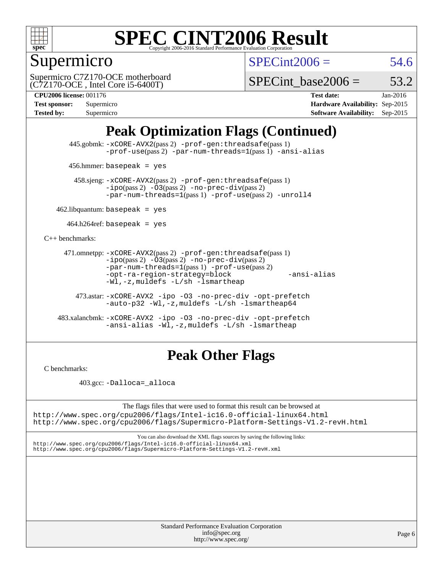

## Supermicro

 $SPECint2006 = 54.6$  $SPECint2006 = 54.6$ 

(C7Z170-OCE , Intel Core i5-6400T) Supermicro C7Z170-OCE motherboard

SPECint base2006 =  $53.2$ 

**[CPU2006 license:](http://www.spec.org/auto/cpu2006/Docs/result-fields.html#CPU2006license)** 001176 **[Test date:](http://www.spec.org/auto/cpu2006/Docs/result-fields.html#Testdate)** Jan-2016 **[Test sponsor:](http://www.spec.org/auto/cpu2006/Docs/result-fields.html#Testsponsor)** Supermicro **[Hardware Availability:](http://www.spec.org/auto/cpu2006/Docs/result-fields.html#HardwareAvailability)** Sep-2015 **[Tested by:](http://www.spec.org/auto/cpu2006/Docs/result-fields.html#Testedby)** Supermicro **Supermicro [Software Availability:](http://www.spec.org/auto/cpu2006/Docs/result-fields.html#SoftwareAvailability)** Sep-2015

## **[Peak Optimization Flags \(Continued\)](http://www.spec.org/auto/cpu2006/Docs/result-fields.html#PeakOptimizationFlags)**

 445.gobmk: [-xCORE-AVX2](http://www.spec.org/cpu2006/results/res2016q1/cpu2006-20160107-38606.flags.html#user_peakPASS2_CFLAGSPASS2_LDCFLAGS445_gobmk_f-xAVX2_5f5fc0cbe2c9f62c816d3e45806c70d7)(pass 2) [-prof-gen:threadsafe](http://www.spec.org/cpu2006/results/res2016q1/cpu2006-20160107-38606.flags.html#user_peakPASS1_CFLAGSPASS1_LDCFLAGS445_gobmk_prof_gen_21a26eb79f378b550acd7bec9fe4467a)(pass 1) [-prof-use](http://www.spec.org/cpu2006/results/res2016q1/cpu2006-20160107-38606.flags.html#user_peakPASS2_CFLAGSPASS2_LDCFLAGS445_gobmk_prof_use_bccf7792157ff70d64e32fe3e1250b55)(pass 2) [-par-num-threads=1](http://www.spec.org/cpu2006/results/res2016q1/cpu2006-20160107-38606.flags.html#user_peakPASS1_CFLAGSPASS1_LDCFLAGS445_gobmk_par_num_threads_786a6ff141b4e9e90432e998842df6c2)(pass 1) [-ansi-alias](http://www.spec.org/cpu2006/results/res2016q1/cpu2006-20160107-38606.flags.html#user_peakCOPTIMIZE445_gobmk_f-ansi-alias)

456.hmmer: basepeak = yes

 458.sjeng: [-xCORE-AVX2](http://www.spec.org/cpu2006/results/res2016q1/cpu2006-20160107-38606.flags.html#user_peakPASS2_CFLAGSPASS2_LDCFLAGS458_sjeng_f-xAVX2_5f5fc0cbe2c9f62c816d3e45806c70d7)(pass 2) [-prof-gen:threadsafe](http://www.spec.org/cpu2006/results/res2016q1/cpu2006-20160107-38606.flags.html#user_peakPASS1_CFLAGSPASS1_LDCFLAGS458_sjeng_prof_gen_21a26eb79f378b550acd7bec9fe4467a)(pass 1)  $-ipo(pass 2) -\overline{03(pass 2)}$  $-ipo(pass 2) -\overline{03(pass 2)}$  [-no-prec-div](http://www.spec.org/cpu2006/results/res2016q1/cpu2006-20160107-38606.flags.html#user_peakPASS2_CFLAGSPASS2_LDCFLAGS458_sjeng_f-no-prec-div)(pass 2) [-par-num-threads=1](http://www.spec.org/cpu2006/results/res2016q1/cpu2006-20160107-38606.flags.html#user_peakPASS1_CFLAGSPASS1_LDCFLAGS458_sjeng_par_num_threads_786a6ff141b4e9e90432e998842df6c2)(pass 1) [-prof-use](http://www.spec.org/cpu2006/results/res2016q1/cpu2006-20160107-38606.flags.html#user_peakPASS2_CFLAGSPASS2_LDCFLAGS458_sjeng_prof_use_bccf7792157ff70d64e32fe3e1250b55)(pass 2) [-unroll4](http://www.spec.org/cpu2006/results/res2016q1/cpu2006-20160107-38606.flags.html#user_peakCOPTIMIZE458_sjeng_f-unroll_4e5e4ed65b7fd20bdcd365bec371b81f)

 $462$ .libquantum: basepeak = yes

 $464.h264$ ref: basepeak = yes

[C++ benchmarks:](http://www.spec.org/auto/cpu2006/Docs/result-fields.html#CXXbenchmarks)

```
 471.omnetpp: -xCORE-AVX2(pass 2) -prof-gen:threadsafe(pass 1)
          -i\text{po}(pass 2) -03(pass 2) -no-prec-div(pass 2)-par-num-threads=1(pass 1) -prof-use(pass 2)
          -opt-ra-region-strategy=block -ansi-alias
          -Wl,-z,muldefs -L/sh -lsmartheap
```
 473.astar: [-xCORE-AVX2](http://www.spec.org/cpu2006/results/res2016q1/cpu2006-20160107-38606.flags.html#user_peakCXXOPTIMIZE473_astar_f-xAVX2_5f5fc0cbe2c9f62c816d3e45806c70d7) [-ipo](http://www.spec.org/cpu2006/results/res2016q1/cpu2006-20160107-38606.flags.html#user_peakCXXOPTIMIZE473_astar_f-ipo) [-O3](http://www.spec.org/cpu2006/results/res2016q1/cpu2006-20160107-38606.flags.html#user_peakCXXOPTIMIZE473_astar_f-O3) [-no-prec-div](http://www.spec.org/cpu2006/results/res2016q1/cpu2006-20160107-38606.flags.html#user_peakCXXOPTIMIZE473_astar_f-no-prec-div) [-opt-prefetch](http://www.spec.org/cpu2006/results/res2016q1/cpu2006-20160107-38606.flags.html#user_peakCXXOPTIMIZE473_astar_f-opt-prefetch) [-auto-p32](http://www.spec.org/cpu2006/results/res2016q1/cpu2006-20160107-38606.flags.html#user_peakCXXOPTIMIZE473_astar_f-auto-p32) [-Wl,-z,muldefs](http://www.spec.org/cpu2006/results/res2016q1/cpu2006-20160107-38606.flags.html#user_peakEXTRA_LDFLAGS473_astar_link_force_multiple1_74079c344b956b9658436fd1b6dd3a8a) [-L/sh -lsmartheap64](http://www.spec.org/cpu2006/results/res2016q1/cpu2006-20160107-38606.flags.html#user_peakEXTRA_LIBS473_astar_SmartHeap64_ed4ef857ce90951921efb0d91eb88472)

 483.xalancbmk: [-xCORE-AVX2](http://www.spec.org/cpu2006/results/res2016q1/cpu2006-20160107-38606.flags.html#user_peakCXXOPTIMIZE483_xalancbmk_f-xAVX2_5f5fc0cbe2c9f62c816d3e45806c70d7) [-ipo](http://www.spec.org/cpu2006/results/res2016q1/cpu2006-20160107-38606.flags.html#user_peakCXXOPTIMIZE483_xalancbmk_f-ipo) [-O3](http://www.spec.org/cpu2006/results/res2016q1/cpu2006-20160107-38606.flags.html#user_peakCXXOPTIMIZE483_xalancbmk_f-O3) [-no-prec-div](http://www.spec.org/cpu2006/results/res2016q1/cpu2006-20160107-38606.flags.html#user_peakCXXOPTIMIZE483_xalancbmk_f-no-prec-div) [-opt-prefetch](http://www.spec.org/cpu2006/results/res2016q1/cpu2006-20160107-38606.flags.html#user_peakCXXOPTIMIZE483_xalancbmk_f-opt-prefetch) [-ansi-alias](http://www.spec.org/cpu2006/results/res2016q1/cpu2006-20160107-38606.flags.html#user_peakCXXOPTIMIZE483_xalancbmk_f-ansi-alias) [-Wl,-z,muldefs](http://www.spec.org/cpu2006/results/res2016q1/cpu2006-20160107-38606.flags.html#user_peakEXTRA_LDFLAGS483_xalancbmk_link_force_multiple1_74079c344b956b9658436fd1b6dd3a8a) [-L/sh -lsmartheap](http://www.spec.org/cpu2006/results/res2016q1/cpu2006-20160107-38606.flags.html#user_peakEXTRA_LIBS483_xalancbmk_SmartHeap_32f6c82aa1ed9c52345d30cf6e4a0499)

## **[Peak Other Flags](http://www.spec.org/auto/cpu2006/Docs/result-fields.html#PeakOtherFlags)**

[C benchmarks](http://www.spec.org/auto/cpu2006/Docs/result-fields.html#Cbenchmarks):

403.gcc: [-Dalloca=\\_alloca](http://www.spec.org/cpu2006/results/res2016q1/cpu2006-20160107-38606.flags.html#b403.gcc_peakEXTRA_CFLAGS_Dalloca_be3056838c12de2578596ca5467af7f3)

The flags files that were used to format this result can be browsed at <http://www.spec.org/cpu2006/flags/Intel-ic16.0-official-linux64.html>

<http://www.spec.org/cpu2006/flags/Supermicro-Platform-Settings-V1.2-revH.html>

You can also download the XML flags sources by saving the following links: <http://www.spec.org/cpu2006/flags/Intel-ic16.0-official-linux64.xml> <http://www.spec.org/cpu2006/flags/Supermicro-Platform-Settings-V1.2-revH.xml>